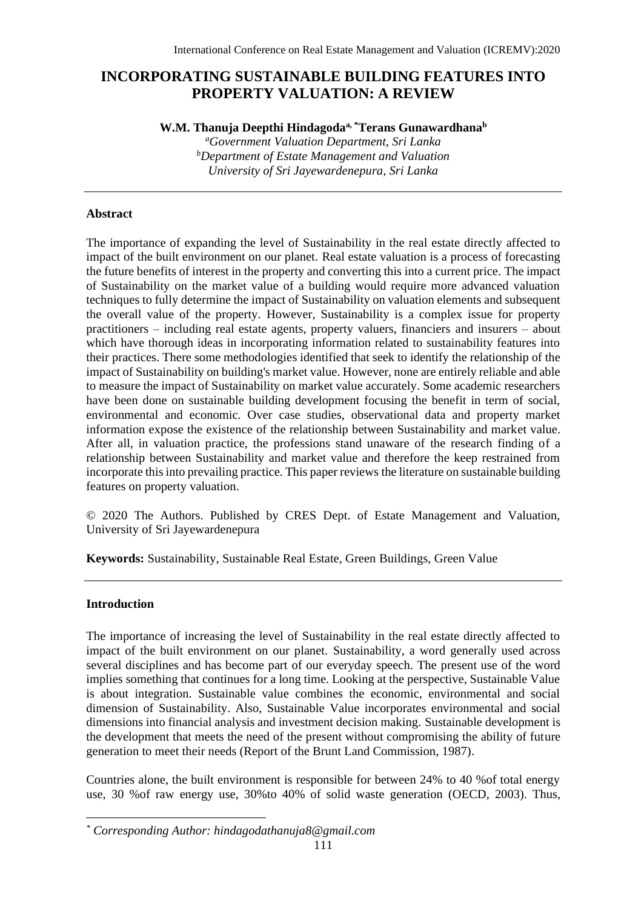# **INCORPORATING SUSTAINABLE BUILDING FEATURES INTO PROPERTY VALUATION: A REVIEW**

**W.M. Thanuja Deepthi Hindagodaa, \*Terans Gunawardhana<sup>b</sup>**

*<sup>a</sup>Government Valuation Department, Sri Lanka <sup>b</sup>Department of Estate Management and Valuation University of Sri Jayewardenepura, Sri Lanka*

## **Abstract**

The importance of expanding the level of Sustainability in the real estate directly affected to impact of the built environment on our planet. Real estate valuation is a process of forecasting the future benefits of interest in the property and converting this into a current price. The impact of Sustainability on the market value of a building would require more advanced valuation techniques to fully determine the impact of Sustainability on valuation elements and subsequent the overall value of the property. However, Sustainability is a complex issue for property practitioners – including real estate agents, property valuers, financiers and insurers – about which have thorough ideas in incorporating information related to sustainability features into their practices. There some methodologies identified that seek to identify the relationship of the impact of Sustainability on building's market value. However, none are entirely reliable and able to measure the impact of Sustainability on market value accurately. Some academic researchers have been done on sustainable building development focusing the benefit in term of social, environmental and economic. Over case studies, observational data and property market information expose the existence of the relationship between Sustainability and market value. After all, in valuation practice, the professions stand unaware of the research finding of a relationship between Sustainability and market value and therefore the keep restrained from incorporate this into prevailing practice. This paper reviews the literature on sustainable building features on property valuation.

© 2020 The Authors. Published by CRES Dept. of Estate Management and Valuation, University of Sri Jayewardenepura

**Keywords:** Sustainability, Sustainable Real Estate, Green Buildings, Green Value

# **Introduction**

The importance of increasing the level of Sustainability in the real estate directly affected to impact of the built environment on our planet. Sustainability, a word generally used across several disciplines and has become part of our everyday speech. The present use of the word implies something that continues for a long time. Looking at the perspective, Sustainable Value is about integration. Sustainable value combines the economic, environmental and social dimension of Sustainability. Also, Sustainable Value incorporates environmental and social dimensions into financial analysis and investment decision making. Sustainable development is the development that meets the need of the present without compromising the ability of future generation to meet their needs (Report of the Brunt Land Commission, 1987).

Countries alone, the built environment is responsible for between 24% to 40 %of total energy use, 30 %of raw energy use, 30%to 40% of solid waste generation (OECD, 2003). Thus,

*<sup>\*</sup> Corresponding Author: hindagodathanuja8@gmail.com*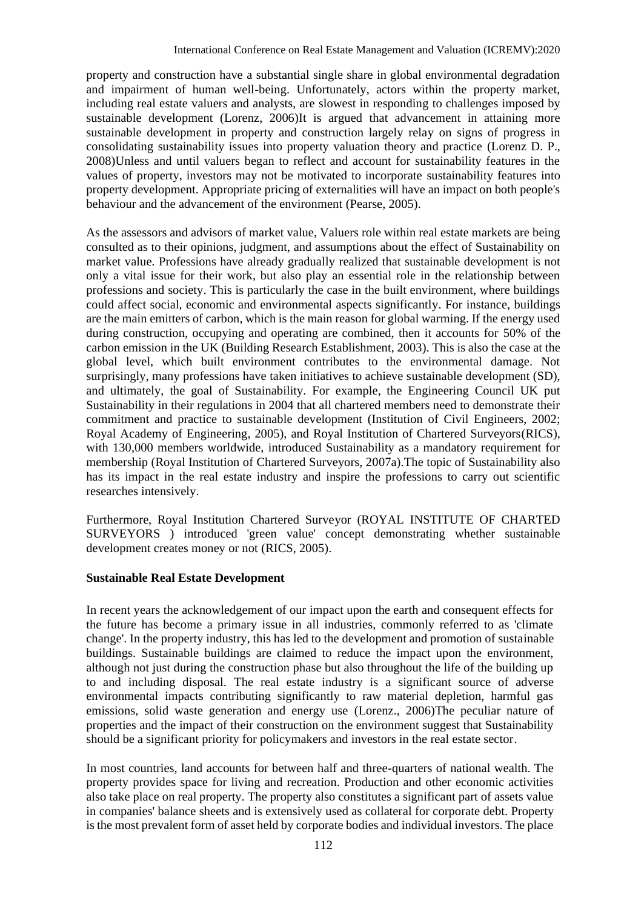property and construction have a substantial single share in global environmental degradation and impairment of human well-being. Unfortunately, actors within the property market, including real estate valuers and analysts, are slowest in responding to challenges imposed by sustainable development (Lorenz, 2006)It is argued that advancement in attaining more sustainable development in property and construction largely relay on signs of progress in consolidating sustainability issues into property valuation theory and practice (Lorenz D. P., 2008)Unless and until valuers began to reflect and account for sustainability features in the values of property, investors may not be motivated to incorporate sustainability features into property development. Appropriate pricing of externalities will have an impact on both people's behaviour and the advancement of the environment (Pearse, 2005).

As the assessors and advisors of market value, Valuers role within real estate markets are being consulted as to their opinions, judgment, and assumptions about the effect of Sustainability on market value. Professions have already gradually realized that sustainable development is not only a vital issue for their work, but also play an essential role in the relationship between professions and society. This is particularly the case in the built environment, where buildings could affect social, economic and environmental aspects significantly. For instance, buildings are the main emitters of carbon, which is the main reason for global warming. If the energy used during construction, occupying and operating are combined, then it accounts for 50% of the carbon emission in the UK (Building Research Establishment, 2003). This is also the case at the global level, which built environment contributes to the environmental damage. Not surprisingly, many professions have taken initiatives to achieve sustainable development (SD), and ultimately, the goal of Sustainability. For example, the Engineering Council UK put Sustainability in their regulations in 2004 that all chartered members need to demonstrate their commitment and practice to sustainable development (Institution of Civil Engineers, 2002; Royal Academy of Engineering, 2005), and Royal Institution of Chartered Surveyors(RICS), with 130,000 members worldwide, introduced Sustainability as a mandatory requirement for membership (Royal Institution of Chartered Surveyors, 2007a).The topic of Sustainability also has its impact in the real estate industry and inspire the professions to carry out scientific researches intensively.

Furthermore, Royal Institution Chartered Surveyor (ROYAL INSTITUTE OF CHARTED SURVEYORS ) introduced 'green value' concept demonstrating whether sustainable development creates money or not (RICS, 2005).

#### **Sustainable Real Estate Development**

In recent years the acknowledgement of our impact upon the earth and consequent effects for the future has become a primary issue in all industries, commonly referred to as 'climate change'. In the property industry, this has led to the development and promotion of sustainable buildings. Sustainable buildings are claimed to reduce the impact upon the environment, although not just during the construction phase but also throughout the life of the building up to and including disposal. The real estate industry is a significant source of adverse environmental impacts contributing significantly to raw material depletion, harmful gas emissions, solid waste generation and energy use (Lorenz., 2006)The peculiar nature of properties and the impact of their construction on the environment suggest that Sustainability should be a significant priority for policymakers and investors in the real estate sector.

In most countries, land accounts for between half and three-quarters of national wealth. The property provides space for living and recreation. Production and other economic activities also take place on real property. The property also constitutes a significant part of assets value in companies' balance sheets and is extensively used as collateral for corporate debt. Property is the most prevalent form of asset held by corporate bodies and individual investors. The place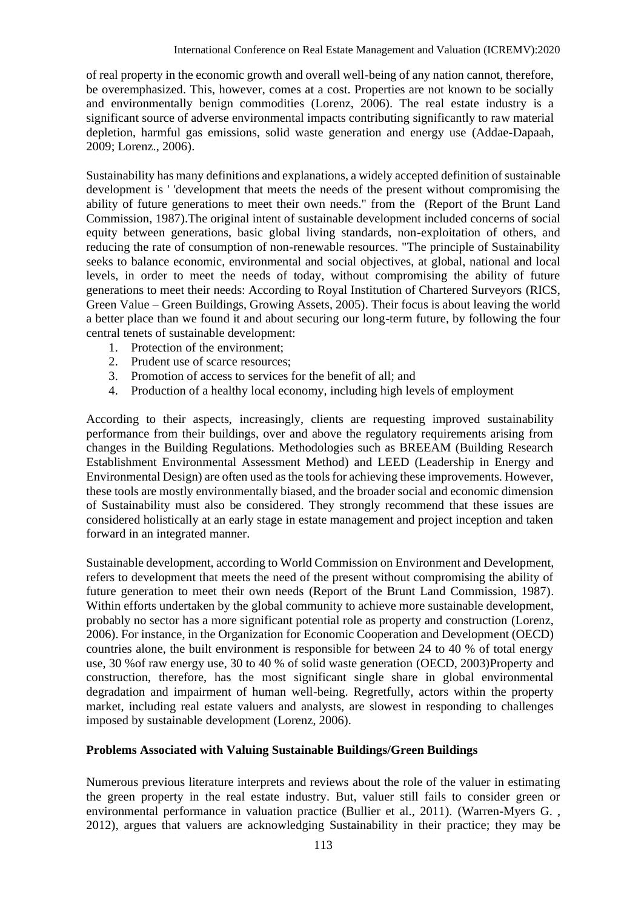of real property in the economic growth and overall well-being of any nation cannot, therefore, be overemphasized. This, however, comes at a cost. Properties are not known to be socially and environmentally benign commodities (Lorenz, 2006). The real estate industry is a significant source of adverse environmental impacts contributing significantly to raw material depletion, harmful gas emissions, solid waste generation and energy use (Addae-Dapaah, 2009; Lorenz., 2006).

Sustainability has many definitions and explanations, a widely accepted definition of sustainable development is ' 'development that meets the needs of the present without compromising the ability of future generations to meet their own needs." from the (Report of the Brunt Land Commission, 1987).The original intent of sustainable development included concerns of social equity between generations, basic global living standards, non-exploitation of others, and reducing the rate of consumption of non-renewable resources. "The principle of Sustainability seeks to balance economic, environmental and social objectives, at global, national and local levels, in order to meet the needs of today, without compromising the ability of future generations to meet their needs: According to Royal Institution of Chartered Surveyors (RICS, Green Value – Green Buildings, Growing Assets, 2005). Their focus is about leaving the world a better place than we found it and about securing our long-term future, by following the four central tenets of sustainable development:

- 1. Protection of the environment;
- 2. Prudent use of scarce resources;
- 3. Promotion of access to services for the benefit of all; and
- 4. Production of a healthy local economy, including high levels of employment

According to their aspects, increasingly, clients are requesting improved sustainability performance from their buildings, over and above the regulatory requirements arising from changes in the Building Regulations. Methodologies such as BREEAM (Building Research Establishment Environmental Assessment Method) and LEED (Leadership in Energy and Environmental Design) are often used as the tools for achieving these improvements. However, these tools are mostly environmentally biased, and the broader social and economic dimension of Sustainability must also be considered. They strongly recommend that these issues are considered holistically at an early stage in estate management and project inception and taken forward in an integrated manner.

Sustainable development, according to World Commission on Environment and Development, refers to development that meets the need of the present without compromising the ability of future generation to meet their own needs (Report of the Brunt Land Commission, 1987). Within efforts undertaken by the global community to achieve more sustainable development, probably no sector has a more significant potential role as property and construction (Lorenz, 2006). For instance, in the Organization for Economic Cooperation and Development (OECD) countries alone, the built environment is responsible for between 24 to 40 % of total energy use, 30 %of raw energy use, 30 to 40 % of solid waste generation (OECD, 2003)Property and construction, therefore, has the most significant single share in global environmental degradation and impairment of human well-being. Regretfully, actors within the property market, including real estate valuers and analysts, are slowest in responding to challenges imposed by sustainable development (Lorenz, 2006).

#### **Problems Associated with Valuing Sustainable Buildings/Green Buildings**

Numerous previous literature interprets and reviews about the role of the valuer in estimating the green property in the real estate industry. But, valuer still fails to consider green or environmental performance in valuation practice (Bullier et al., 2011). (Warren-Myers G. , 2012), argues that valuers are acknowledging Sustainability in their practice; they may be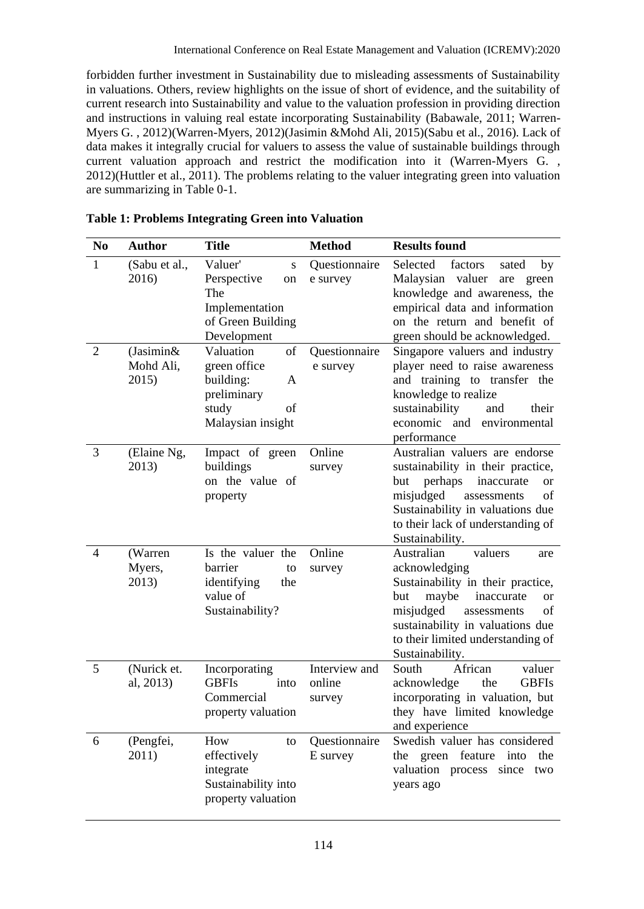forbidden further investment in Sustainability due to misleading assessments of Sustainability in valuations. Others, review highlights on the issue of short of evidence, and the suitability of current research into Sustainability and value to the valuation profession in providing direction and instructions in valuing real estate incorporating Sustainability (Babawale, 2011; Warren-Myers G. , 2012)(Warren-Myers, 2012)(Jasimin &Mohd Ali, 2015)(Sabu et al., 2016). Lack of data makes it integrally crucial for valuers to assess the value of sustainable buildings through current valuation approach and restrict the modification into it (Warren-Myers G. , 2012)(Huttler et al., 2011). The problems relating to the valuer integrating green into valuation are summarizing in Table 0-1.

| N <sub>0</sub> | <b>Author</b>                      | Title                                                                                                | <b>Method</b>                     | <b>Results found</b>                                                                                                                                                                                                                                            |
|----------------|------------------------------------|------------------------------------------------------------------------------------------------------|-----------------------------------|-----------------------------------------------------------------------------------------------------------------------------------------------------------------------------------------------------------------------------------------------------------------|
| 1              | (Sabu et al.,<br>2016)             | Valuer'<br>S<br>Perspective<br>on<br>The<br>Implementation<br>of Green Building<br>Development       | Questionnaire<br>e survey         | Selected<br>factors<br>sated<br>by<br>Malaysian valuer<br>are<br>green<br>knowledge and awareness, the<br>empirical data and information<br>on the return and benefit of<br>green should be acknowledged.                                                       |
| $\overline{2}$ | $(Jasimin\&$<br>Mohd Ali,<br>2015) | Valuation<br>of<br>green office<br>building:<br>A<br>preliminary<br>study<br>of<br>Malaysian insight | Questionnaire<br>e survey         | Singapore valuers and industry<br>player need to raise awareness<br>and training to transfer the<br>knowledge to realize<br>sustainability<br>and<br>their<br>economic<br>and environmental<br>performance                                                      |
| 3              | (Elaine Ng,<br>2013)               | Impact of green<br>buildings<br>on the value of<br>property                                          | Online<br>survey                  | Australian valuers are endorse<br>sustainability in their practice,<br>but<br>perhaps<br>inaccurate<br><sub>or</sub><br>misjudged<br>of<br>assessments<br>Sustainability in valuations due<br>to their lack of understanding of<br>Sustainability.              |
| 4              | (Warren<br>Myers,<br>2013)         | Is the valuer the<br>barrier<br>to<br>identifying<br>the<br>value of<br>Sustainability?              | Online<br>survey                  | Australian<br>valuers<br>are<br>acknowledging<br>Sustainability in their practice,<br>but<br>maybe<br>inaccurate<br><sub>or</sub><br>misjudged<br>of<br>assessments<br>sustainability in valuations due<br>to their limited understanding of<br>Sustainability. |
| 5              | (Nurick et.<br>al, 2013)           | Incorporating<br><b>GBFIs</b><br>into<br>Commercial<br>property valuation                            | Interview and<br>online<br>survey | African<br>South<br>valuer<br>acknowledge<br>the<br><b>GBFIs</b><br>incorporating in valuation, but<br>they have limited knowledge<br>and experience                                                                                                            |
| 6              | (Pengfei,<br>2011)                 | How<br>to<br>effectively<br>integrate<br>Sustainability into<br>property valuation                   | Questionnaire<br>E survey         | Swedish valuer has considered<br>green feature<br>the<br>into<br>the<br>valuation process<br>since<br>two<br>years ago                                                                                                                                          |

## **Table 1: Problems Integrating Green into Valuation**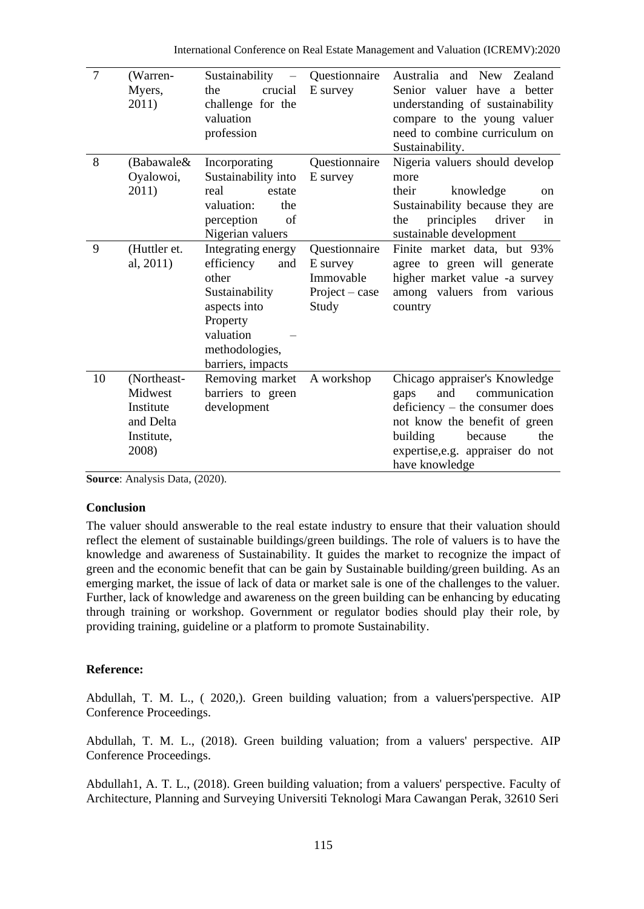International Conference on Real Estate Management and Valuation (ICREMV):2020

| $\overline{7}$ | (Warren-<br>Myers,<br>2011)                                             | Sustainability<br>$\overline{\phantom{m}}$<br>crucial<br>the<br>challenge for the<br>valuation<br>profession                                       | Questionnaire<br>E survey                                         | Australia and New Zealand<br>Senior valuer have<br>a better<br>understanding of sustainability<br>compare to the young valuer<br>need to combine curriculum on<br>Sustainability.                                      |
|----------------|-------------------------------------------------------------------------|----------------------------------------------------------------------------------------------------------------------------------------------------|-------------------------------------------------------------------|------------------------------------------------------------------------------------------------------------------------------------------------------------------------------------------------------------------------|
| 8              | (Babawale&<br>Oyalowoi,<br>2011)                                        | Incorporating<br>Sustainability into<br>real<br>estate<br>valuation:<br>the<br>perception<br>of<br>Nigerian valuers                                | Questionnaire<br>E survey                                         | Nigeria valuers should develop<br>more<br>knowledge<br>their<br><sub>on</sub><br>Sustainability because they are<br>principles<br>driver<br>the<br>in<br>sustainable development                                       |
| 9              | (Huttler et.<br>al, 2011)                                               | Integrating energy<br>efficiency<br>and<br>other<br>Sustainability<br>aspects into<br>Property<br>valuation<br>methodologies,<br>barriers, impacts | Questionnaire<br>E survey<br>Immovable<br>$Project-case$<br>Study | Finite market data, but 93%<br>agree to green will generate<br>higher market value -a survey<br>among valuers from various<br>country                                                                                  |
| 10             | (Northeast-<br>Midwest<br>Institute<br>and Delta<br>Institute,<br>2008) | Removing market<br>barriers to green<br>development                                                                                                | A workshop                                                        | Chicago appraiser's Knowledge<br>communication<br>and<br>gaps<br>$deficiency - the consumer does$<br>not know the benefit of green<br>building<br>the<br>because<br>expertise, e.g. appraiser do not<br>have knowledge |

**Source**: Analysis Data, (2020).

#### **Conclusion**

The valuer should answerable to the real estate industry to ensure that their valuation should reflect the element of sustainable buildings/green buildings. The role of valuers is to have the knowledge and awareness of Sustainability. It guides the market to recognize the impact of green and the economic benefit that can be gain by Sustainable building/green building. As an emerging market, the issue of lack of data or market sale is one of the challenges to the valuer. Further, lack of knowledge and awareness on the green building can be enhancing by educating through training or workshop. Government or regulator bodies should play their role, by providing training, guideline or a platform to promote Sustainability.

#### **Reference:**

Abdullah, T. M. L., ( 2020,). Green building valuation; from a valuers'perspective. AIP Conference Proceedings.

Abdullah, T. M. L., (2018). Green building valuation; from a valuers' perspective. AIP Conference Proceedings.

Abdullah1, A. T. L., (2018). Green building valuation; from a valuers' perspective. Faculty of Architecture, Planning and Surveying Universiti Teknologi Mara Cawangan Perak, 32610 Seri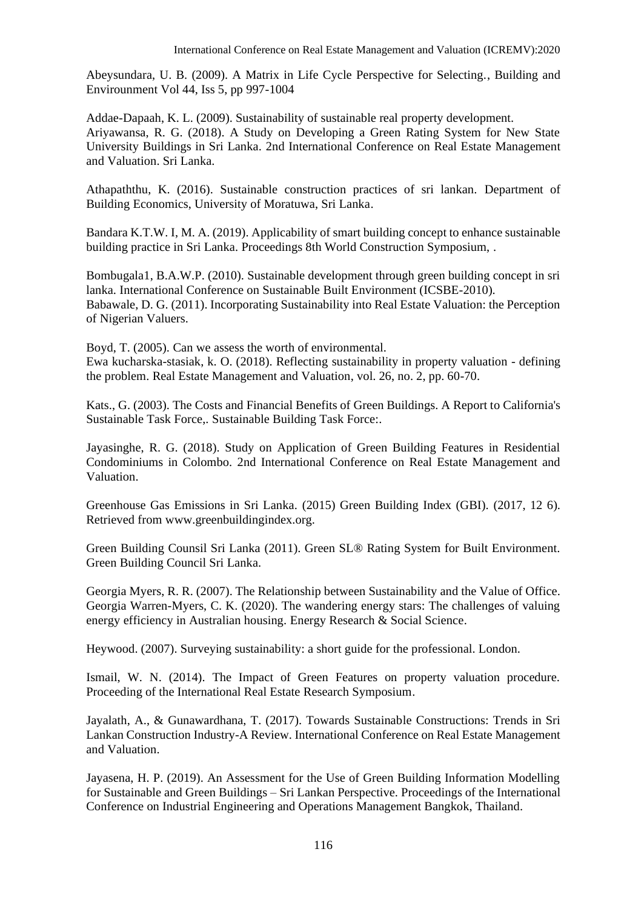Abeysundara, U. B. (2009). A Matrix in Life Cycle Perspective for Selecting., Building and Envirounment Vol 44, Iss 5, pp 997-1004

Addae-Dapaah, K. L. (2009). Sustainability of sustainable real property development. Ariyawansa, R. G. (2018). A Study on Developing a Green Rating System for New State University Buildings in Sri Lanka. 2nd International Conference on Real Estate Management and Valuation. Sri Lanka.

Athapaththu, K. (2016). Sustainable construction practices of sri lankan. Department of Building Economics, University of Moratuwa, Sri Lanka.

Bandara K.T.W. I, M. A. (2019). Applicability of smart building concept to enhance sustainable building practice in Sri Lanka. Proceedings 8th World Construction Symposium, .

Bombugala1, B.A.W.P. (2010). Sustainable development through green building concept in sri lanka. International Conference on Sustainable Built Environment (ICSBE-2010). Babawale, D. G. (2011). Incorporating Sustainability into Real Estate Valuation: the Perception of Nigerian Valuers.

Boyd, T. (2005). Can we assess the worth of environmental. Ewa kucharska-stasiak, k. O. (2018). Reflecting sustainability in property valuation - defining the problem. Real Estate Management and Valuation, vol. 26, no. 2, pp. 60-70.

Kats., G. (2003). The Costs and Financial Benefits of Green Buildings. A Report to California's Sustainable Task Force,. Sustainable Building Task Force:.

Jayasinghe, R. G. (2018). Study on Application of Green Building Features in Residential Condominiums in Colombo. 2nd International Conference on Real Estate Management and Valuation.

Greenhouse Gas Emissions in Sri Lanka. (2015) Green Building Index (GBI). (2017, 12 6). Retrieved from www.greenbuildingindex.org.

Green Building Counsil Sri Lanka (2011). Green SL® Rating System for Built Environment. Green Building Council Sri Lanka.

Georgia Myers, R. R. (2007). The Relationship between Sustainability and the Value of Office. Georgia Warren-Myers, C. K. (2020). The wandering energy stars: The challenges of valuing energy efficiency in Australian housing. Energy Research & Social Science.

Heywood. (2007). Surveying sustainability: a short guide for the professional. London.

Ismail, W. N. (2014). The Impact of Green Features on property valuation procedure. Proceeding of the International Real Estate Research Symposium.

Jayalath, A., & Gunawardhana, T. (2017). Towards Sustainable Constructions: Trends in Sri Lankan Construction Industry-A Review. International Conference on Real Estate Management and Valuation.

Jayasena, H. P. (2019). An Assessment for the Use of Green Building Information Modelling for Sustainable and Green Buildings – Sri Lankan Perspective. Proceedings of the International Conference on Industrial Engineering and Operations Management Bangkok, Thailand.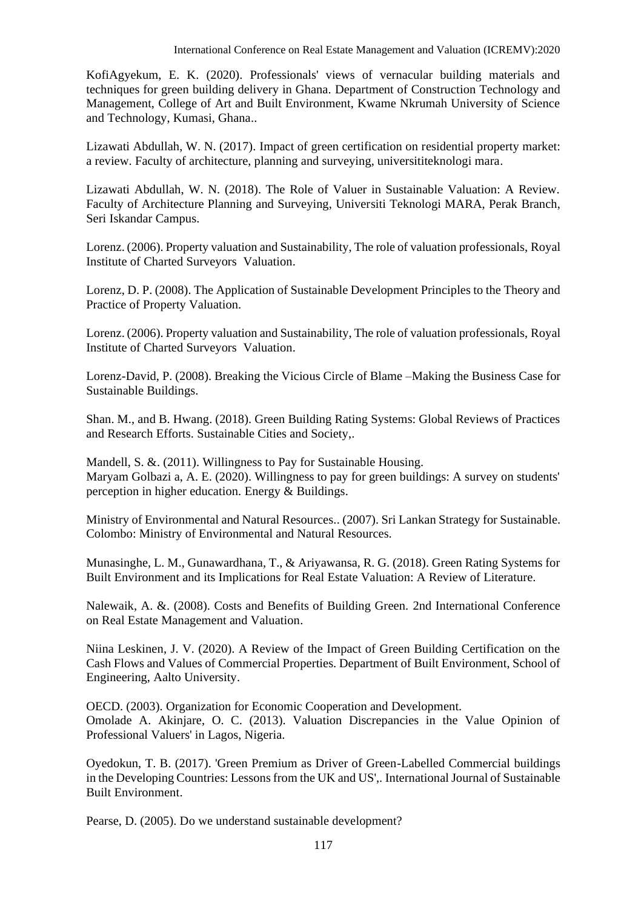KofiAgyekum, E. K. (2020). Professionals' views of vernacular building materials and techniques for green building delivery in Ghana. Department of Construction Technology and Management, College of Art and Built Environment, Kwame Nkrumah University of Science and Technology, Kumasi, Ghana..

Lizawati Abdullah, W. N. (2017). Impact of green certification on residential property market: a review. Faculty of architecture, planning and surveying, universititeknologi mara.

Lizawati Abdullah, W. N. (2018). The Role of Valuer in Sustainable Valuation: A Review. Faculty of Architecture Planning and Surveying, Universiti Teknologi MARA, Perak Branch, Seri Iskandar Campus.

Lorenz. (2006). Property valuation and Sustainability, The role of valuation professionals, Royal Institute of Charted Surveyors Valuation.

Lorenz, D. P. (2008). The Application of Sustainable Development Principles to the Theory and Practice of Property Valuation.

Lorenz. (2006). Property valuation and Sustainability, The role of valuation professionals, Royal Institute of Charted Surveyors Valuation.

Lorenz-David, P. (2008). Breaking the Vicious Circle of Blame –Making the Business Case for Sustainable Buildings.

Shan. M., and B. Hwang. (2018). Green Building Rating Systems: Global Reviews of Practices and Research Efforts. Sustainable Cities and Society,.

Mandell, S. &. (2011). Willingness to Pay for Sustainable Housing. Maryam Golbazi a, A. E. (2020). Willingness to pay for green buildings: A survey on students' perception in higher education. Energy & Buildings.

Ministry of Environmental and Natural Resources.. (2007). Sri Lankan Strategy for Sustainable. Colombo: Ministry of Environmental and Natural Resources.

Munasinghe, L. M., Gunawardhana, T., & Ariyawansa, R. G. (2018). Green Rating Systems for Built Environment and its Implications for Real Estate Valuation: A Review of Literature.

Nalewaik, A. &. (2008). Costs and Benefits of Building Green. 2nd International Conference on Real Estate Management and Valuation.

Niina Leskinen, J. V. (2020). A Review of the Impact of Green Building Certification on the Cash Flows and Values of Commercial Properties. Department of Built Environment, School of Engineering, Aalto University.

OECD. (2003). Organization for Economic Cooperation and Development. Omolade A. Akinjare, O. C. (2013). Valuation Discrepancies in the Value Opinion of Professional Valuers' in Lagos, Nigeria.

Oyedokun, T. B. (2017). 'Green Premium as Driver of Green-Labelled Commercial buildings in the Developing Countries: Lessons from the UK and US',. International Journal of Sustainable Built Environment.

Pearse, D. (2005). Do we understand sustainable development?